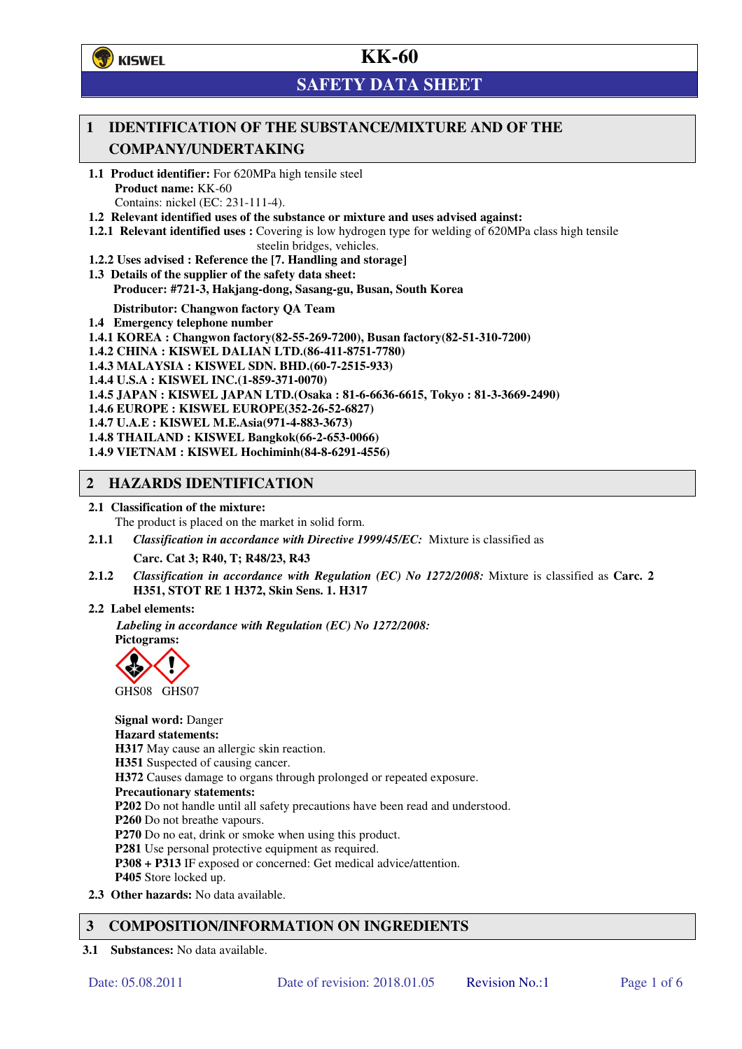**了**KISWEL

# **KK-60**

# **SAFETY DATA SHEET**

## **1 IDENTIFICATION OF THE SUBSTANCE/MIXTURE AND OF THE COMPANY/UNDERTAKING**

- **1.1 Product identifier:** For 620MPa high tensile steel **Product name:** KK-60 Contains: nickel (EC: 231-111-4).
- **1.2 Relevant identified uses of the substance or mixture and uses advised against:**
- **1.2.1 Relevant identified uses :** Covering is low hydrogen type for welding of 620MPa class high tensile steelin bridges, vehicles.
- **1.2.2 Uses advised : Reference the [7. Handling and storage]**
- **1.3 Details of the supplier of the safety data sheet: Producer: #721-3, Hakjang-dong, Sasang-gu, Busan, South Korea**

**Distributor: Changwon factory QA Team** 

- **1.4 Emergency telephone number**
- **1.4.1 KOREA : Changwon factory(82-55-269-7200), Busan factory(82-51-310-7200)**
- **1.4.2 CHINA : KISWEL DALIAN LTD.(86-411-8751-7780)**
- **1.4.3 MALAYSIA : KISWEL SDN. BHD.(60-7-2515-933)**
- **1.4.4 U.S.A : KISWEL INC.(1-859-371-0070)**
- **1.4.5 JAPAN : KISWEL JAPAN LTD.(Osaka : 81-6-6636-6615, Tokyo : 81-3-3669-2490)**
- **1.4.6 EUROPE : KISWEL EUROPE(352-26-52-6827)**
- **1.4.7 U.A.E : KISWEL M.E.Asia(971-4-883-3673)**
- **1.4.8 THAILAND : KISWEL Bangkok(66-2-653-0066)**
- **1.4.9 VIETNAM : KISWEL Hochiminh(84-8-6291-4556)**

#### **2 HAZARDS IDENTIFICATION**

- **2.1 Classification of the mixture:** 
	- The product is placed on the market in solid form.
- **2.1.1** *Classification in accordance with Directive 1999/45/EC:* Mixture is classified as

**Carc. Cat 3; R40, T; R48/23, R43** 

- **2.1.2** *Classification in accordance with Regulation (EC) No 1272/2008:* Mixture is classified as **Carc. 2 H351, STOT RE 1 H372, Skin Sens. 1. H317**
- **2.2 Label elements:**

*Labeling in accordance with Regulation (EC) No 1272/2008:*  **Pictograms:** 



**Signal word:** Danger **Hazard statements: H317** May cause an allergic skin reaction. **H351** Suspected of causing cancer. **H372** Causes damage to organs through prolonged or repeated exposure. **Precautionary statements: P202** Do not handle until all safety precautions have been read and understood. **P260** Do not breathe vapours. **P270** Do no eat, drink or smoke when using this product. **P281** Use personal protective equipment as required. **P308 + P313** IF exposed or concerned: Get medical advice/attention. **P405** Store locked up. **2.3 Other hazards:** No data available.

- **3 COMPOSITION/INFORMATION ON INGREDIENTS**
- **3.1 Substances:** No data available.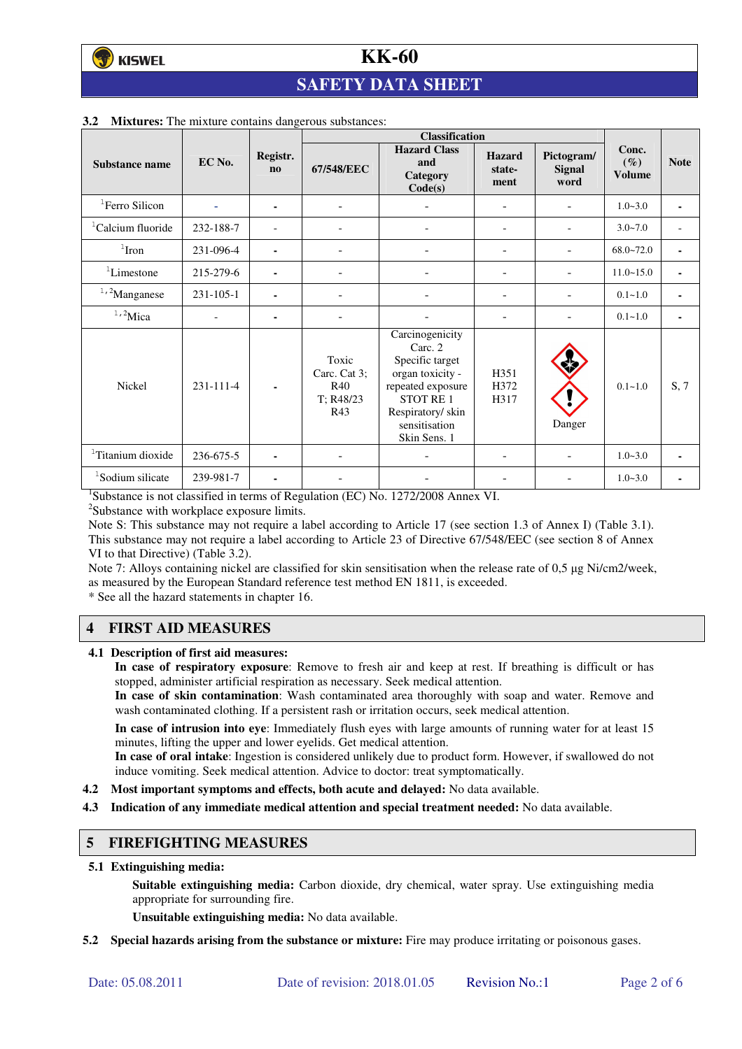# **SAFETY DATA SHEET**

|                               |                |                          | <b>Classification</b>                            |                                                                                                                                                                |                                 |                                     |                                  |             |
|-------------------------------|----------------|--------------------------|--------------------------------------------------|----------------------------------------------------------------------------------------------------------------------------------------------------------------|---------------------------------|-------------------------------------|----------------------------------|-------------|
| Substance name                | EC No.         | Registr.<br>$\mathbf{n}$ | 67/548/EEC                                       | <b>Hazard Class</b><br>and<br>Category<br>Code(s)                                                                                                              | <b>Hazard</b><br>state-<br>ment | Pictogram/<br><b>Signal</b><br>word | Conc.<br>$(\%)$<br><b>Volume</b> | <b>Note</b> |
| ${}^{1}$ Ferro Silicon        |                | ٠                        | $\overline{\phantom{a}}$                         |                                                                                                                                                                | $\overline{\phantom{0}}$        |                                     | $1.0 - 3.0$                      | ٠           |
| <sup>1</sup> Calcium fluoride | 232-188-7      |                          |                                                  |                                                                                                                                                                |                                 |                                     | $3.0 - 7.0$                      |             |
| $1$ Iron                      | 231-096-4      | ۰                        |                                                  |                                                                                                                                                                |                                 |                                     | $68.0 - 72.0$                    | ٠           |
| ${}^{1}$ Limestone            | 215-279-6      | $\blacksquare$           | $\blacksquare$                                   |                                                                                                                                                                | $\equiv$                        |                                     | $11.0 - 15.0$                    | ٠           |
| $1,2$ Manganese               | 231-105-1      | ۰                        |                                                  |                                                                                                                                                                |                                 |                                     | $0.1 - 1.0$                      |             |
| $1,2$ Mica                    | $\overline{a}$ | ٠                        |                                                  |                                                                                                                                                                |                                 |                                     | $0.1 - 1.0$                      | ٠           |
| Nickel                        | 231-111-4      | ٠                        | Toxic<br>Carc. Cat 3:<br>R40<br>T: R48/23<br>R43 | Carcinogenicity<br>Carc. 2<br>Specific target<br>organ toxicity -<br>repeated exposure<br><b>STOT RE1</b><br>Respiratory/skin<br>sensitisation<br>Skin Sens. 1 | H351<br>H372<br>H317            | Danger                              | $0.1 - 1.0$                      | S, 7        |
| <sup>1</sup> Titanium dioxide | 236-675-5      |                          |                                                  |                                                                                                                                                                |                                 |                                     | $1.0 - 3.0$                      |             |
| <sup>1</sup> Sodium silicate  | 239-981-7      |                          |                                                  |                                                                                                                                                                |                                 |                                     | $1.0 - 3.0$                      |             |

#### **3.2 Mixtures:** The mixture contains dangerous substances:

<sup>1</sup>Substance is not classified in terms of Regulation (EC) No. 1272/2008 Annex VI.

<sup>2</sup>Substance with workplace exposure limits.

Note S: This substance may not require a label according to Article 17 (see section 1.3 of Annex I) (Table 3.1). This substance may not require a label according to Article 23 of Directive 67/548/EEC (see section 8 of Annex VI to that Directive) (Table 3.2).

Note 7: Alloys containing nickel are classified for skin sensitisation when the release rate of 0,5 µg Ni/cm2/week, as measured by the European Standard reference test method EN 1811, is exceeded.

\* See all the hazard statements in chapter 16.

## **4 FIRST AID MEASURES**

**4.1 Description of first aid measures:** 

**In case of respiratory exposure**: Remove to fresh air and keep at rest. If breathing is difficult or has stopped, administer artificial respiration as necessary. Seek medical attention.

**In case of skin contamination**: Wash contaminated area thoroughly with soap and water. Remove and wash contaminated clothing. If a persistent rash or irritation occurs, seek medical attention.

 **In case of intrusion into eye**: Immediately flush eyes with large amounts of running water for at least 15 minutes, lifting the upper and lower eyelids. Get medical attention.

**In case of oral intake**: Ingestion is considered unlikely due to product form. However, if swallowed do not induce vomiting. Seek medical attention. Advice to doctor: treat symptomatically.

- **4.2 Most important symptoms and effects, both acute and delayed:** No data available.
- **4.3 Indication of any immediate medical attention and special treatment needed:** No data available.

#### **5 FIREFIGHTING MEASURES**

**5.1 Extinguishing media:** 

**Suitable extinguishing media:** Carbon dioxide, dry chemical, water spray. Use extinguishing media appropriate for surrounding fire.

**Unsuitable extinguishing media:** No data available.

**5.2 Special hazards arising from the substance or mixture:** Fire may produce irritating or poisonous gases.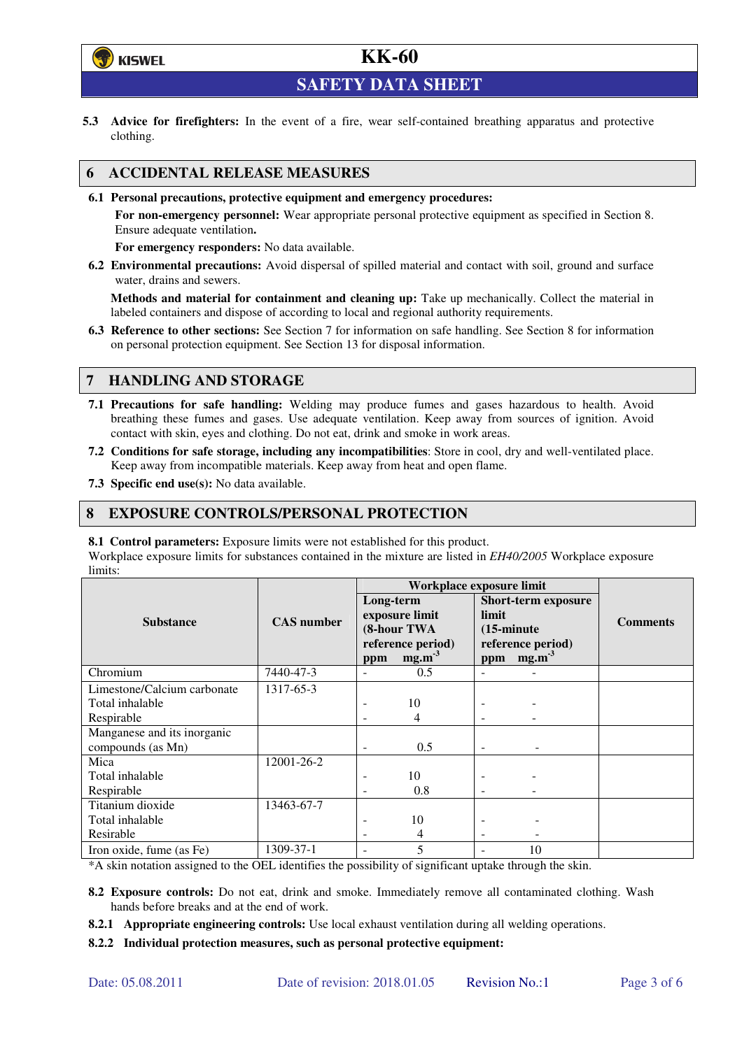

**SAFETY DATA SHEET** 

**5.3 Advice for firefighters:** In the event of a fire, wear self-contained breathing apparatus and protective clothing.

### **6 ACCIDENTAL RELEASE MEASURES**

**6.1 Personal precautions, protective equipment and emergency procedures:** 

**For non-emergency personnel:** Wear appropriate personal protective equipment as specified in Section 8. Ensure adequate ventilation**.** 

**For emergency responders:** No data available.

**6.2 Environmental precautions:** Avoid dispersal of spilled material and contact with soil, ground and surface water, drains and sewers.

**Methods and material for containment and cleaning up:** Take up mechanically. Collect the material in labeled containers and dispose of according to local and regional authority requirements.

**6.3 Reference to other sections:** See Section 7 for information on safe handling. See Section 8 for information on personal protection equipment. See Section 13 for disposal information.

### **7 HANDLING AND STORAGE**

- **7.1 Precautions for safe handling:** Welding may produce fumes and gases hazardous to health. Avoid breathing these fumes and gases. Use adequate ventilation. Keep away from sources of ignition. Avoid contact with skin, eyes and clothing. Do not eat, drink and smoke in work areas.
- **7.2 Conditions for safe storage, including any incompatibilities**: Store in cool, dry and well-ventilated place. Keep away from incompatible materials. Keep away from heat and open flame.
- **7.3 Specific end use(s):** No data available.

#### **8 EXPOSURE CONTROLS/PERSONAL PROTECTION**

**8.1 Control parameters:** Exposure limits were not established for this product.

Workplace exposure limits for substances contained in the mixture are listed in *EH40/2005* Workplace exposure limits:

|                             | <b>CAS</b> number | Workplace exposure limit                                        |                   |                                                                                  |                   |                 |  |
|-----------------------------|-------------------|-----------------------------------------------------------------|-------------------|----------------------------------------------------------------------------------|-------------------|-----------------|--|
|                             |                   | Long-term<br>exposure limit<br>(8-hour TWA<br>reference period) |                   | <b>Short-term exposure</b><br>limit<br>$(15\text{-minute})$<br>reference period) |                   | <b>Comments</b> |  |
| <b>Substance</b>            |                   |                                                                 |                   |                                                                                  |                   |                 |  |
|                             |                   |                                                                 |                   |                                                                                  |                   |                 |  |
|                             |                   |                                                                 |                   |                                                                                  |                   |                 |  |
|                             |                   | ppm                                                             | mg.m <sup>3</sup> | ppm                                                                              | mg.m <sup>3</sup> |                 |  |
| Chromium                    | 7440-47-3         |                                                                 | 0.5               |                                                                                  |                   |                 |  |
| Limestone/Calcium carbonate | 1317-65-3         |                                                                 |                   |                                                                                  |                   |                 |  |
| Total inhalable             |                   |                                                                 | 10                |                                                                                  |                   |                 |  |
| Respirable                  |                   |                                                                 | 4                 |                                                                                  |                   |                 |  |
| Manganese and its inorganic |                   |                                                                 |                   |                                                                                  |                   |                 |  |
| compounds (as Mn)           |                   |                                                                 | 0.5               |                                                                                  |                   |                 |  |
| Mica                        | 12001-26-2        |                                                                 |                   |                                                                                  |                   |                 |  |
| Total inhalable             |                   |                                                                 | 10                |                                                                                  |                   |                 |  |
| Respirable                  |                   |                                                                 | 0.8               |                                                                                  |                   |                 |  |
| Titanium dioxide            | 13463-67-7        |                                                                 |                   |                                                                                  |                   |                 |  |
| Total inhalable             |                   |                                                                 | 10                |                                                                                  |                   |                 |  |
| Resirable                   |                   |                                                                 | 4                 | $\overline{\phantom{a}}$                                                         |                   |                 |  |
| Iron oxide, fume (as Fe)    | 1309-37-1         |                                                                 | 5                 |                                                                                  | 10                |                 |  |

\*A skin notation assigned to the OEL identifies the possibility of significant uptake through the skin.

- **8.2 Exposure controls:** Do not eat, drink and smoke. Immediately remove all contaminated clothing. Wash hands before breaks and at the end of work.
- **8.2.1 Appropriate engineering controls:** Use local exhaust ventilation during all welding operations.

**8.2.2 Individual protection measures, such as personal protective equipment:**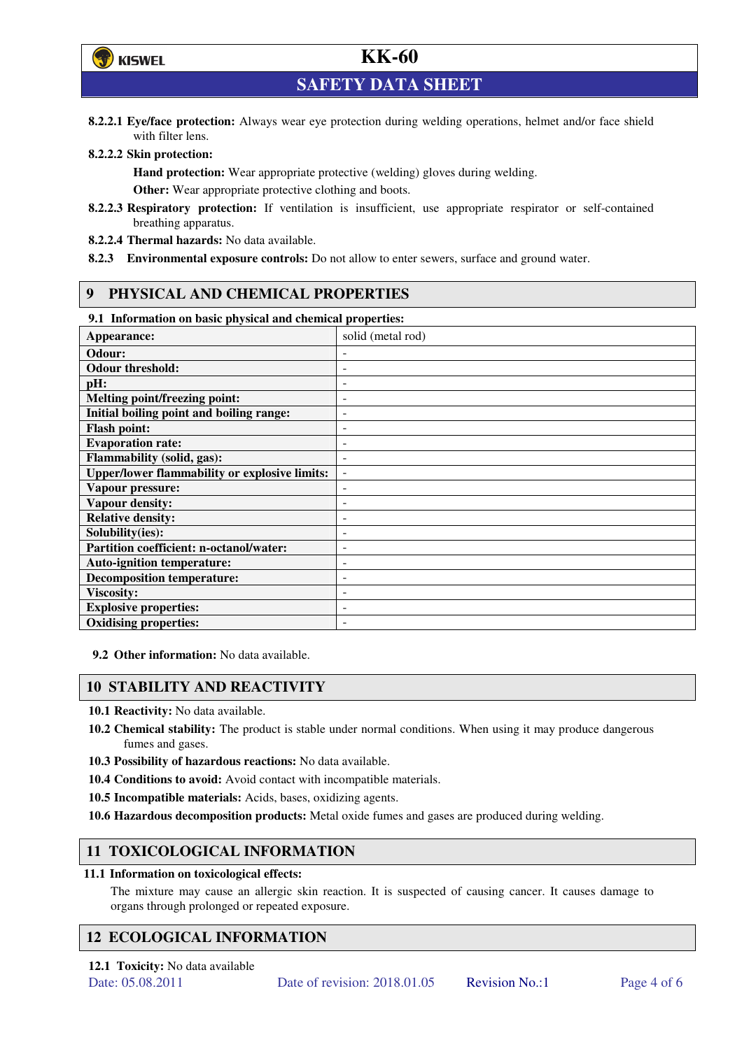

**SAFETY DATA SHEET** 

**8.2.2.1 Eye/face protection:** Always wear eye protection during welding operations, helmet and/or face shield with filter lens.

#### **8.2.2.2 Skin protection:**

**Hand protection:** Wear appropriate protective (welding) gloves during welding. **Other:** Wear appropriate protective clothing and boots.

- **8.2.2.3 Respiratory protection:** If ventilation is insufficient, use appropriate respirator or self-contained breathing apparatus.
- **8.2.2.4 Thermal hazards:** No data available.
- **8.2.3 Environmental exposure controls:** Do not allow to enter sewers, surface and ground water.

### **9 PHYSICAL AND CHEMICAL PROPERTIES**

#### **9.1 Information on basic physical and chemical properties:**

| эт тигериштери он ошоге рнузкий ини сисписат ргорегисэт |                              |  |  |  |  |
|---------------------------------------------------------|------------------------------|--|--|--|--|
| Appearance:                                             | solid (metal rod)            |  |  |  |  |
| Odour:                                                  |                              |  |  |  |  |
| <b>Odour threshold:</b>                                 |                              |  |  |  |  |
| pH:                                                     |                              |  |  |  |  |
| Melting point/freezing point:                           | $\overline{\phantom{0}}$     |  |  |  |  |
| Initial boiling point and boiling range:                | $\overline{a}$               |  |  |  |  |
| <b>Flash point:</b>                                     | $\overline{\phantom{0}}$     |  |  |  |  |
| <b>Evaporation rate:</b>                                |                              |  |  |  |  |
| <b>Flammability (solid, gas):</b>                       |                              |  |  |  |  |
| <b>Upper/lower flammability or explosive limits:</b>    | $\qquad \qquad \blacksquare$ |  |  |  |  |
| Vapour pressure:                                        | $\overline{a}$               |  |  |  |  |
| <b>Vapour density:</b>                                  |                              |  |  |  |  |
| <b>Relative density:</b>                                |                              |  |  |  |  |
| Solubility(ies):                                        |                              |  |  |  |  |
| Partition coefficient: n-octanol/water:                 | $\overline{a}$               |  |  |  |  |
| <b>Auto-ignition temperature:</b>                       |                              |  |  |  |  |
| <b>Decomposition temperature:</b>                       |                              |  |  |  |  |
| <b>Viscosity:</b>                                       |                              |  |  |  |  |
| <b>Explosive properties:</b>                            | $\overline{\phantom{0}}$     |  |  |  |  |
| <b>Oxidising properties:</b>                            | $\overline{\phantom{0}}$     |  |  |  |  |
|                                                         |                              |  |  |  |  |

**9.2 Other information:** No data available.

#### **10 STABILITY AND REACTIVITY**

**10.1 Reactivity:** No data available.

- **10.2 Chemical stability:** The product is stable under normal conditions. When using it may produce dangerous fumes and gases.
- **10.3 Possibility of hazardous reactions:** No data available.
- **10.4 Conditions to avoid:** Avoid contact with incompatible materials.
- **10.5 Incompatible materials:** Acids, bases, oxidizing agents.
- **10.6 Hazardous decomposition products:** Metal oxide fumes and gases are produced during welding.

## **11 TOXICOLOGICAL INFORMATION**

#### **11.1 Information on toxicological effects:**

The mixture may cause an allergic skin reaction. It is suspected of causing cancer. It causes damage to organs through prolonged or repeated exposure.

## **12 ECOLOGICAL INFORMATION**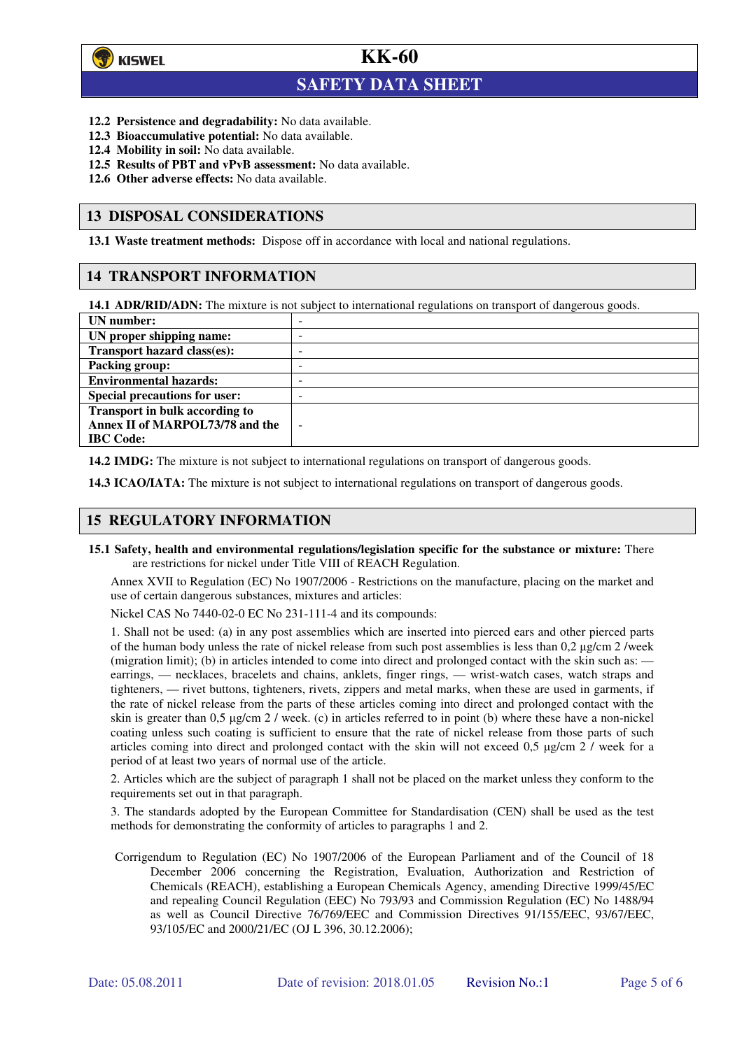

 $\overline{a}$ 

## **KK-60**

## **SAFETY DATA SHEET**

- **12.2 Persistence and degradability:** No data available.
- **12.3 Bioaccumulative potential:** No data available.
- **12.4 Mobility in soil:** No data available.
- **12.5 Results of PBT and vPvB assessment:** No data available.
- **12.6 Other adverse effects:** No data available.

#### **13 DISPOSAL CONSIDERATIONS**

**13.1 Waste treatment methods:** Dispose off in accordance with local and national regulations.

#### **14 TRANSPORT INFORMATION**

**14.1 ADR/RID/ADN:** The mixture is not subject to international regulations on transport of dangerous goods.

| UN number:                            | - |
|---------------------------------------|---|
| UN proper shipping name:              | - |
| Transport hazard class(es):           | - |
| <b>Packing group:</b>                 | - |
| <b>Environmental hazards:</b>         | - |
| <b>Special precautions for user:</b>  | - |
| <b>Transport in bulk according to</b> |   |
| Annex II of MARPOL73/78 and the       | - |
| <b>IBC</b> Code:                      |   |

**14.2 IMDG:** The mixture is not subject to international regulations on transport of dangerous goods.

**14.3 ICAO/IATA:** The mixture is not subject to international regulations on transport of dangerous goods.

#### **15 REGULATORY INFORMATION**

**15.1 Safety, health and environmental regulations/legislation specific for the substance or mixture:** There are restrictions for nickel under Title VIII of REACH Regulation.

Annex XVII to Regulation (EC) No 1907/2006 - Restrictions on the manufacture, placing on the market and use of certain dangerous substances, mixtures and articles:

Nickel CAS No 7440-02-0 EC No 231-111-4 and its compounds:

1. Shall not be used: (a) in any post assemblies which are inserted into pierced ears and other pierced parts of the human body unless the rate of nickel release from such post assemblies is less than  $0.2 \mu$ g/cm  $2$ /week (migration limit); (b) in articles intended to come into direct and prolonged contact with the skin such as: earrings, — necklaces, bracelets and chains, anklets, finger rings, — wrist-watch cases, watch straps and tighteners, — rivet buttons, tighteners, rivets, zippers and metal marks, when these are used in garments, if the rate of nickel release from the parts of these articles coming into direct and prolonged contact with the skin is greater than 0,5 µg/cm 2 / week. (c) in articles referred to in point (b) where these have a non-nickel coating unless such coating is sufficient to ensure that the rate of nickel release from those parts of such articles coming into direct and prolonged contact with the skin will not exceed 0,5 µg/cm 2 / week for a period of at least two years of normal use of the article.

2. Articles which are the subject of paragraph 1 shall not be placed on the market unless they conform to the requirements set out in that paragraph.

3. The standards adopted by the European Committee for Standardisation (CEN) shall be used as the test methods for demonstrating the conformity of articles to paragraphs 1 and 2.

Corrigendum to Regulation (EC) No 1907/2006 of the European Parliament and of the Council of 18 December 2006 concerning the Registration, Evaluation, Authorization and Restriction of Chemicals (REACH), establishing a European Chemicals Agency, amending Directive 1999/45/EC and repealing Council Regulation (EEC) No 793/93 and Commission Regulation (EC) No 1488/94 as well as Council Directive 76/769/EEC and Commission Directives 91/155/EEC, 93/67/EEC, 93/105/EC and 2000/21/EC (OJ L 396, 30.12.2006);